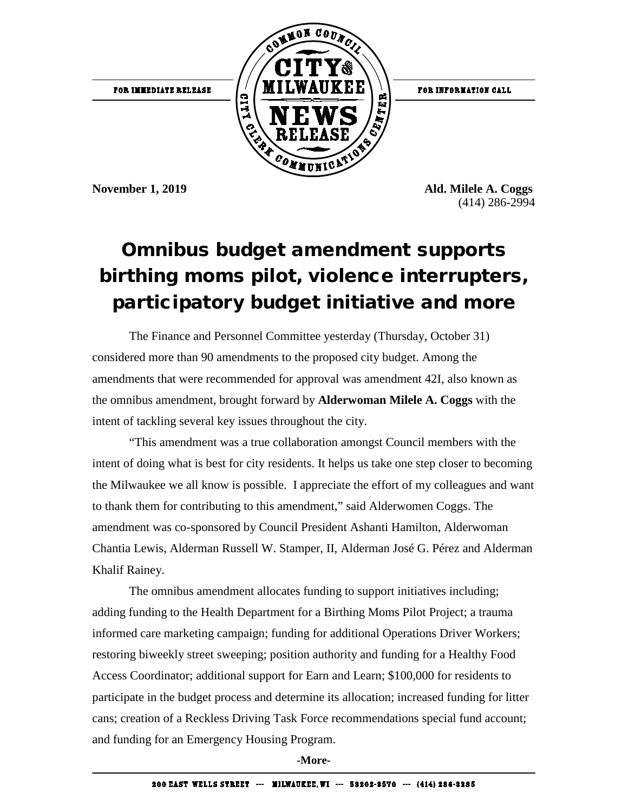

FOR INFORMATION CALL

**November 1, 2019 Ald. Milele A. Coggs** (414) 286-2994

## Omnibus budget amendment supports birthing moms pilot, violence interrupters, participatory budget initiative and more

The Finance and Personnel Committee yesterday (Thursday, October 31) considered more than 90 amendments to the proposed city budget. Among the amendments that were recommended for approval was amendment 42I, also known as the omnibus amendment, brought forward by **Alderwoman Milele A. Coggs** with the intent of tackling several key issues throughout the city.

"This amendment was a true collaboration amongst Council members with the intent of doing what is best for city residents. It helps us take one step closer to becoming the Milwaukee we all know is possible. I appreciate the effort of my colleagues and want to thank them for contributing to this amendment," said Alderwomen Coggs. The amendment was co-sponsored by Council President Ashanti Hamilton, Alderwoman Chantia Lewis, Alderman Russell W. Stamper, II, Alderman José G. Pérez and Alderman Khalif Rainey.

The omnibus amendment allocates funding to support initiatives including; adding funding to the Health Department for a Birthing Moms Pilot Project; a trauma informed care marketing campaign; funding for additional Operations Driver Workers; restoring biweekly street sweeping; position authority and funding for a Healthy Food Access Coordinator; additional support for Earn and Learn; \$100,000 for residents to participate in the budget process and determine its allocation; increased funding for litter cans; creation of a Reckless Driving Task Force recommendations special fund account; and funding for an Emergency Housing Program.

**-More-**